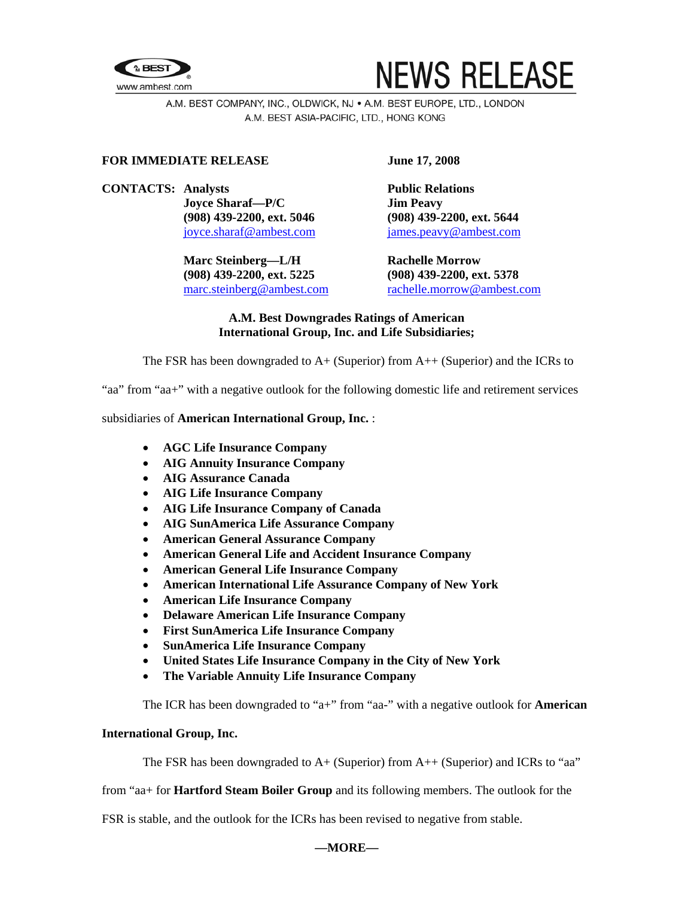



A.M. BEST COMPANY, INC., OLDWICK, NJ . A.M. BEST EUROPE, LTD., LONDON A.M. BEST ASIA-PACIFIC, LTD., HONG KONG

## **FOR IMMEDIATE RELEASE June 17, 2008**

### **CONTACTS:** Analysts **Public Relations**

**Joyce Sharaf—P/C Jim Peavy (908) 439-2200, ext. 5046 (908) 439-2200, ext. 5644** 

**Marc Steinberg—L/H Rachelle Morrow (908) 439-2200, ext. 5225 (908) 439-2200, ext. 5378** 

[joyce.sharaf@ambest.com](mailto:joyce.sharaf@ambest.com)[james.peavy@ambest.com](mailto:james.peavy@ambest.com)

[marc.steinberg@ambest.com](mailto:marc.steinberg@ambest.com) [rachelle.morrow@ambest.com](mailto:rachelle.morrow@ambest.com)

# **A.M. Best Downgrades Ratings of American International Group, Inc. and Life Subsidiaries;**

The FSR has been downgraded to  $A+$  (Superior) from  $A++$  (Superior) and the ICRs to

"aa" from "aa+" with a negative outlook for the following domestic life and retirement services

### subsidiaries of **American International Group, Inc.** :

- **AGC Life Insurance Company**
- **AIG Annuity Insurance Company**
- **AIG Assurance Canada**
- **AIG Life Insurance Company**
- **AIG Life Insurance Company of Canada**
- **AIG SunAmerica Life Assurance Company**
- **American General Assurance Company**
- **American General Life and Accident Insurance Company**
- **American General Life Insurance Company**
- **American International Life Assurance Company of New York**
- **American Life Insurance Company**
- **Delaware American Life Insurance Company**
- **First SunAmerica Life Insurance Company**
- **SunAmerica Life Insurance Company**
- **United States Life Insurance Company in the City of New York**
- **The Variable Annuity Life Insurance Company**

The ICR has been downgraded to "a+" from "aa-" with a negative outlook for **American** 

### **International Group, Inc.**

The FSR has been downgraded to  $A+$  (Superior) from  $A++$  (Superior) and ICRs to "aa"

from "aa+ for **Hartford Steam Boiler Group** and its following members. The outlook for the

FSR is stable, and the outlook for the ICRs has been revised to negative from stable.